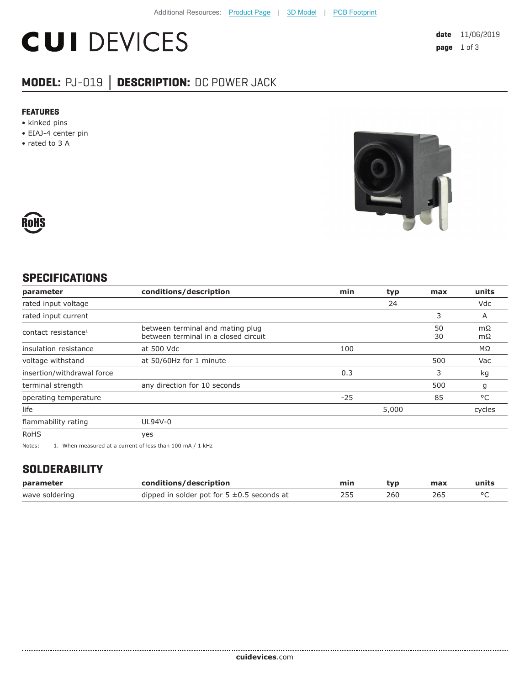# **CUI DEVICES**

### **MODEL:** PJ-019 **│ DESCRIPTION:** DC POWER JACK

#### **FEATURES**

- kinked pins
- EIAJ-4 center pin
- rated to 3 A





#### **SPECIFICATIONS**

| parameter                                                                                          | conditions/description                                                   | min   | typ   | max      | units    |
|----------------------------------------------------------------------------------------------------|--------------------------------------------------------------------------|-------|-------|----------|----------|
| rated input voltage                                                                                |                                                                          |       | 24    |          | Vdc      |
| rated input current                                                                                |                                                                          |       |       | 3        | A        |
| contact resistance <sup>1</sup>                                                                    | between terminal and mating plug<br>between terminal in a closed circuit |       |       | 50<br>30 | mΩ<br>mΩ |
| insulation resistance                                                                              | at 500 Vdc                                                               | 100   |       |          | MΩ       |
| voltage withstand                                                                                  | at 50/60Hz for 1 minute                                                  |       |       | 500      | Vac      |
| insertion/withdrawal force                                                                         |                                                                          | 0.3   |       | 3        | kg       |
| terminal strength                                                                                  | any direction for 10 seconds                                             |       |       | 500      | g        |
| operating temperature                                                                              |                                                                          | $-25$ |       | 85       | °C       |
| life                                                                                               |                                                                          |       | 5,000 |          | cycles   |
| flammability rating                                                                                | UL94V-0                                                                  |       |       |          |          |
| <b>RoHS</b>                                                                                        | yes                                                                      |       |       |          |          |
| $\sim$ $\sim$ $\sim$ $\sim$ $\sim$<br>$\cdots$<br>$\sim$ $\sim$ $\sim$ $\sim$ $\sim$ $\sim$ $\sim$ |                                                                          |       |       |          |          |

Notes: 1. When measured at a current of less than 100 mA / 1 kHz

#### **SOLDERABILITY**

| parameter      | conditions/description                          | min | tvp | max | units |
|----------------|-------------------------------------------------|-----|-----|-----|-------|
| wave soldering | dipped in solder pot for $5 \pm 0.5$ seconds at | 755 | 260 | 26: |       |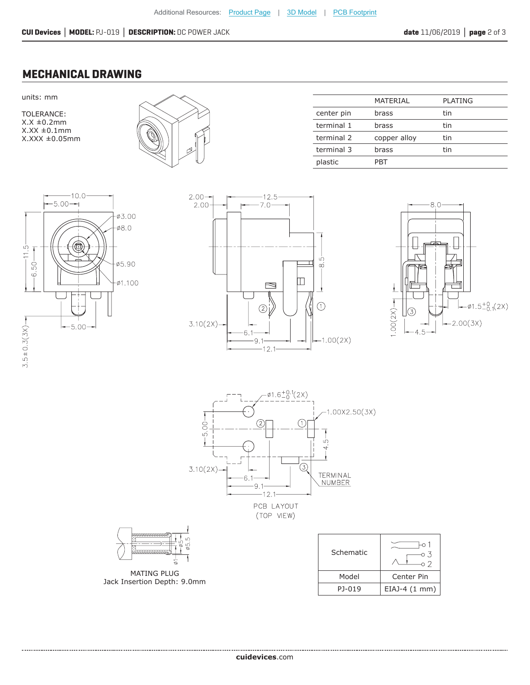#### **MECHANICAL DRAWING**

units: mm

TOLERANCE:  $X.X \pm 0.2$ mm  $X.XX \pm 0.1$ mm X.XXX ±0.05mm



| MATERIAL     | <b>PLATING</b> |
|--------------|----------------|
| brass        | tin            |
| brass        | tin            |
| copper alloy | tin            |
| brass        | tin            |
| PBT          |                |
|              |                |











MATING PLUG Jack Insertion Depth: 9.0mm

| Schematic | $\overline{\phantom{a}}$ |  |
|-----------|--------------------------|--|
| Model     | Center Pin               |  |
| PJ-019    | $EIAJ-4(1 mm)$           |  |